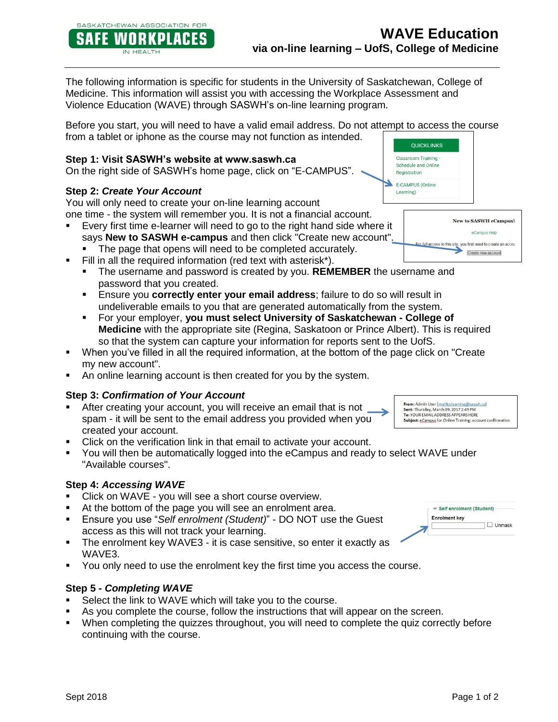The following information is specific for students in the University of Saskatchewan, College of Medicine. This information will assist you with accessing the Workplace Assessment and Violence Education (WAVE) through SASWH's on-line learning program.

Before you start, you will need to have a valid email address. Do not attempt to access the course from a tablet or iphone as the course may not function as intended.

## **Step 1: Visit SASWH's website at www.saswh.ca**

On the right side of SASWH's home page, click on "E-CAMPUS".

## **Step 2:** *Create Your Account*

SASKATCHEWAN ASSOCIATION FOR **WOR** 

IN HEALTH

KPLACI

You will only need to create your on-line learning account

- one time the system will remember you. It is not a financial account. Every first time e-learner will need to go to the right hand side where it
	- says **New to SASWH e-campus** and then click "Create new account".
	- The page that opens will need to be completed accurately.
- Fill in all the required information (red text with asterisk\*).
	- The username and password is created by you. **REMEMBER** the username and password that you created.
	- Ensure you **correctly enter your email address**; failure to do so will result in undeliverable emails to you that are generated automatically from the system.
	- For your employer, **you must select University of Saskatchewan - College of Medicine** with the appropriate site (Regina, Saskatoon or Prince Albert). This is required so that the system can capture your information for reports sent to the UofS.
- When you've filled in all the required information, at the bottom of the page click on "Create my new account".
- An online learning account is then created for you by the system.

#### **Step 3:** *Confirmation of Your Account*

- After creating your account, you will receive an email that is not spam - it will be sent to the email address you provided when you created your account.
- Click on the verification link in that email to activate your account.
- You will then be automatically logged into the eCampus and ready to select WAVE under "Available courses".

#### **Step 4:** *Accessing WAVE*

- Click on WAVE you will see a short course overview.
- At the bottom of the page you will see an enrolment area.
- Ensure you use "*Self enrolment (Student)*" DO NOT use the Guest access as this will not track your learning.
- The enrolment key WAVE3 it is case sensitive, so enter it exactly as WAVE3.
- You only need to use the enrolment key the first time you access the course.

#### **Step 5 -** *Completing WAVE*

- Select the link to WAVE which will take you to the course.
- As you complete the course, follow the instructions that will appear on the screen.
- When completing the quizzes throughout, you will need to complete the quiz correctly before continuing with the course.



eCampus Help

For full access to this site, you first need to create an accou Create new account



From: Admin User [mailto:learning@saswh<br>Sent: Thursday, March 09, 2017 2:49 PM<br>To: YOUR EMAIL ADDRESS APPEARS HERE Subject: eCampus for Online Training: account confirmation